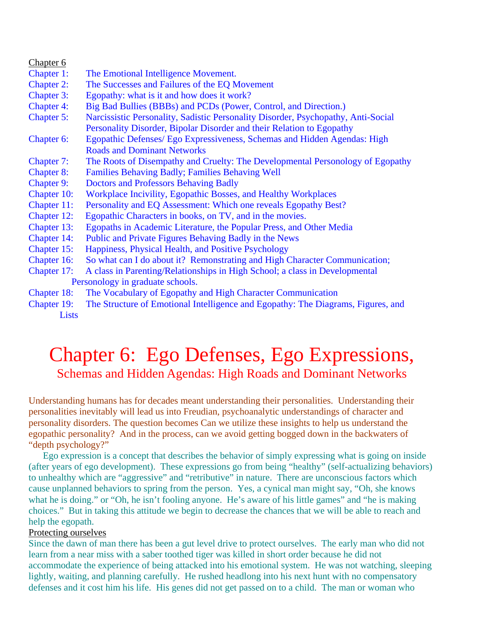| Chapter 6                        |                                                                                   |
|----------------------------------|-----------------------------------------------------------------------------------|
| Chapter 1:                       | The Emotional Intelligence Movement.                                              |
| <b>Chapter 2:</b>                | The Successes and Failures of the EQ Movement                                     |
| <b>Chapter 3:</b>                | Egopathy: what is it and how does it work?                                        |
| <b>Chapter 4:</b>                | Big Bad Bullies (BBBs) and PCDs (Power, Control, and Direction.)                  |
| Chapter 5:                       | Narcissistic Personality, Sadistic Personality Disorder, Psychopathy, Anti-Social |
|                                  | Personality Disorder, Bipolar Disorder and their Relation to Egopathy             |
| Chapter 6:                       | Egopathic Defenses/ Ego Expressiveness, Schemas and Hidden Agendas: High          |
|                                  | <b>Roads and Dominant Networks</b>                                                |
| Chapter 7:                       | The Roots of Disempathy and Cruelty: The Developmental Personology of Egopathy    |
| <b>Chapter 8:</b>                | <b>Families Behaving Badly; Families Behaving Well</b>                            |
| <b>Chapter 9:</b>                | <b>Doctors and Professors Behaving Badly</b>                                      |
| Chapter 10:                      | Workplace Incivility, Egopathic Bosses, and Healthy Workplaces                    |
| Chapter 11:                      | Personality and EQ Assessment: Which one reveals Egopathy Best?                   |
| Chapter 12:                      | Egopathic Characters in books, on TV, and in the movies.                          |
| Chapter 13:                      | Egopaths in Academic Literature, the Popular Press, and Other Media               |
| Chapter 14:                      | Public and Private Figures Behaving Badly in the News                             |
| Chapter 15:                      | Happiness, Physical Health, and Positive Psychology                               |
| Chapter 16:                      | So what can I do about it? Remonstrating and High Character Communication;        |
| Chapter 17:                      | A class in Parenting/Relationships in High School; a class in Developmental       |
| Personology in graduate schools. |                                                                                   |
| Chapter 18:                      | The Vocabulary of Egopathy and High Character Communication                       |
|                                  | ית חד הוד וחזיות וחזיות וחזיות וחזיות וחזיות                                      |

# Chapter 6: Ego Defenses, Ego Expressions, Schemas and Hidden Agendas: High Roads and Dominant Networks

Understanding humans has for decades meant understanding their personalities. Understanding their personalities inevitably will lead us into Freudian, psychoanalytic understandings of character and personality disorders. The question becomes Can we utilize these insights to help us understand the egopathic personality? And in the process, can we avoid getting bogged down in the backwaters of "depth psychology?"

Ego expression is a concept that describes the behavior of simply expressing what is going on inside (after years of ego development). These expressions go from being "healthy" (self-actualizing behaviors) to unhealthy which are "aggressive" and "retributive" in nature. There are unconscious factors which cause unplanned behaviors to spring from the person. Yes, a cynical man might say, "Oh, she knows what he is doing." or "Oh, he isn't fooling anyone. He's aware of his little games" and "he is making choices." But in taking this attitude we begin to decrease the chances that we will be able to reach and help the egopath.

# Protecting ourselves

 $\sim$ 

Since the dawn of man there has been a gut level drive to protect ourselves. The early man who did not learn from a near miss with a saber toothed tiger was killed in short order because he did not accommodate the experience of being attacked into his emotional system. He was not watching, sleeping lightly, waiting, and planning carefully. He rushed headlong into his next hunt with no compensatory defenses and it cost him his life. His genes did not get passed on to a child. The man or woman who

Chapter 19: The Structure of Emotional Intelligence and Egopathy: The Diagrams, Figures, and **Lists**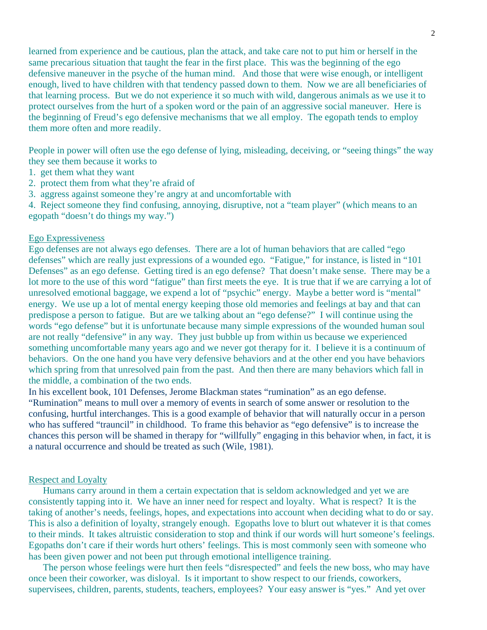learned from experience and be cautious, plan the attack, and take care not to put him or herself in the same precarious situation that taught the fear in the first place. This was the beginning of the ego defensive maneuver in the psyche of the human mind. And those that were wise enough, or intelligent enough, lived to have children with that tendency passed down to them. Now we are all beneficiaries of that learning process. But we do not experience it so much with wild, dangerous animals as we use it to protect ourselves from the hurt of a spoken word or the pain of an aggressive social maneuver. Here is the beginning of Freud's ego defensive mechanisms that we all employ. The egopath tends to employ them more often and more readily.

People in power will often use the ego defense of lying, misleading, deceiving, or "seeing things" the way they see them because it works to

- 1. get them what they want
- 2. protect them from what they're afraid of
- 3. aggress against someone they're angry at and uncomfortable with

4. Reject someone they find confusing, annoying, disruptive, not a "team player" (which means to an egopath "doesn't do things my way.")

## Ego Expressiveness

Ego defenses are not always ego defenses. There are a lot of human behaviors that are called "ego defenses" which are really just expressions of a wounded ego. "Fatigue," for instance, is listed in "101 Defenses" as an ego defense. Getting tired is an ego defense? That doesn't make sense. There may be a lot more to the use of this word "fatigue" than first meets the eye. It is true that if we are carrying a lot of unresolved emotional baggage, we expend a lot of "psychic" energy. Maybe a better word is "mental" energy. We use up a lot of mental energy keeping those old memories and feelings at bay and that can predispose a person to fatigue. But are we talking about an "ego defense?" I will continue using the words "ego defense" but it is unfortunate because many simple expressions of the wounded human soul are not really "defensive" in any way. They just bubble up from within us because we experienced something uncomfortable many years ago and we never got therapy for it. I believe it is a continuum of behaviors. On the one hand you have very defensive behaviors and at the other end you have behaviors which spring from that unresolved pain from the past. And then there are many behaviors which fall in the middle, a combination of the two ends.

In his excellent book, 101 Defenses, Jerome Blackman states "rumination" as an ego defense. "Rumination" means to mull over a memory of events in search of some answer or resolution to the confusing, hurtful interchanges. This is a good example of behavior that will naturally occur in a person who has suffered "trauncil" in childhood. To frame this behavior as "ego defensive" is to increase the chances this person will be shamed in therapy for "willfully" engaging in this behavior when, in fact, it is a natural occurrence and should be treated as such (Wile, 1981).

#### Respect and Loyalty

 Humans carry around in them a certain expectation that is seldom acknowledged and yet we are consistently tapping into it. We have an inner need for respect and loyalty. What is respect? It is the taking of another's needs, feelings, hopes, and expectations into account when deciding what to do or say. This is also a definition of loyalty, strangely enough. Egopaths love to blurt out whatever it is that comes to their minds. It takes altruistic consideration to stop and think if our words will hurt someone's feelings. Egopaths don't care if their words hurt others' feelings. This is most commonly seen with someone who has been given power and not been put through emotional intelligence training.

 The person whose feelings were hurt then feels "disrespected" and feels the new boss, who may have once been their coworker, was disloyal. Is it important to show respect to our friends, coworkers, supervisees, children, parents, students, teachers, employees? Your easy answer is "yes." And yet over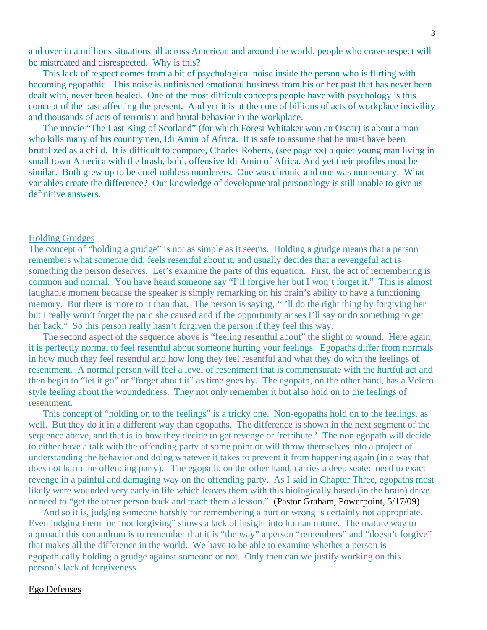and over in a millions situations all across American and around the world, people who crave respect will be mistreated and disrespected. Why is this?

 This lack of respect comes from a bit of psychological noise inside the person who is flirting with becoming egopathic. This noise is unfinished emotional business from his or her past that has never been dealt with, never been healed. One of the most difficult concepts people have with psychology is this concept of the past affecting the present. And yet it is at the core of billions of acts of workplace incivility and thousands of acts of terrorism and brutal behavior in the workplace.

 The movie "The Last King of Scotland" (for which Forest Whitaker won an Oscar) is about a man who kills many of his countrymen, Idi Amin of Africa. It is safe to assume that he must have been brutalized as a child. It is difficult to compare, Charles Roberts, (see page xx) a quiet young man living in small town America with the brash, bold, offensive Idi Amin of Africa. And yet their profiles must be similar. Both grew up to be cruel ruthless murderers. One was chronic and one was momentary. What variables create the difference? Our knowledge of developmental personology is still unable to give us definitive answers.

#### Holding Grudges

The concept of "holding a grudge" is not as simple as it seems. Holding a grudge means that a person remembers what someone did, feels resentful about it, and usually decides that a revengeful act is something the person deserves. Let's examine the parts of this equation. First, the act of remembering is common and normal. You have heard someone say "I'll forgive her but I won't forget it." This is almost laughable moment because the speaker is simply remarking on his brain's ability to have a functioning memory. But there is more to it than that. The person is saying, "I'll do the right thing by forgiving her but I really won't forget the pain she caused and if the opportunity arises I'll say or do something to get her back." So this person really hasn't forgiven the person if they feel this way.

 The second aspect of the sequence above is "feeling resentful about" the slight or wound. Here again it is perfectly normal to feel resentful about someone hurting your feelings. Egopaths differ from normals in how much they feel resentful and how long they feel resentful and what they do with the feelings of resentment. A normal person will feel a level of resentment that is commensurate with the hurtful act and then begin to "let it go" or "forget about it" as time goes by. The egopath, on the other hand, has a Velcro style feeling about the woundedness. They not only remember it but also hold on to the feelings of resentment.

 This concept of "holding on to the feelings" is a tricky one. Non-egopaths hold on to the feelings, as well. But they do it in a different way than egopaths. The difference is shown in the next segment of the sequence above, and that is in how they decide to get revenge or 'retribute.' The non egopath will decide to either have a talk with the offending party at some point or will throw themselves into a project of understanding the behavior and doing whatever it takes to prevent it from happening again (in a way that does not harm the offending party). The egopath, on the other hand, carries a deep seated need to exact revenge in a painful and damaging way on the offending party. As I said in Chapter Three, egopaths most likely were wounded very early in life which leaves them with this biologically based (in the brain) drive or need to "get the other person back and teach them a lesson." (Pastor Graham, Powerpoint, 5/17/09)

 And so it is, judging someone harshly for remembering a hurt or wrong is certainly not appropriate. Even judging them for "not forgiving" shows a lack of insight into human nature. The mature way to approach this conundrum is to remember that it is "the way" a person "remembers" and "doesn't forgive" that makes all the difference in the world. We have to be able to examine whether a person is egopathically holding a grudge against someone or not. Only then can we justify working on this person's lack of forgiveness.

#### Ego Defenses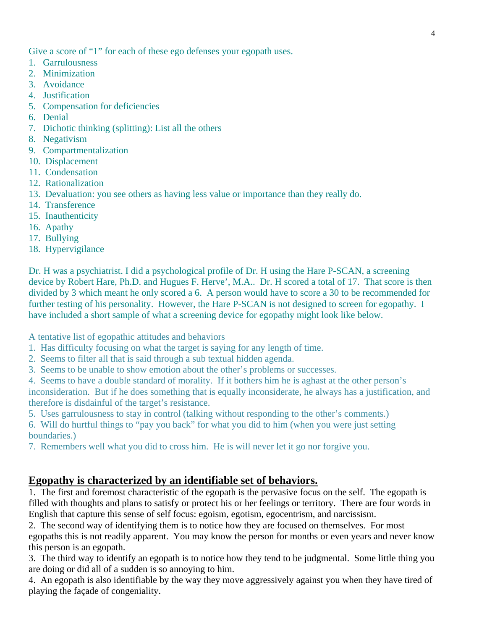Give a score of "1" for each of these ego defenses your egopath uses.

- 1. Garrulousness
- 2. Minimization
- 3. Avoidance
- 4. Justification
- 5. Compensation for deficiencies
- 6. Denial
- 7. Dichotic thinking (splitting): List all the others
- 8. Negativism
- 9. Compartmentalization
- 10. Displacement
- 11. Condensation
- 12. Rationalization
- 13. Devaluation: you see others as having less value or importance than they really do.
- 14. Transference
- 15. Inauthenticity
- 16. Apathy
- 17. Bullying
- 18. Hypervigilance

Dr. H was a psychiatrist. I did a psychological profile of Dr. H using the Hare P-SCAN, a screening device by Robert Hare, Ph.D. and Hugues F. Herve', M.A.. Dr. H scored a total of 17. That score is then divided by 3 which meant he only scored a 6. A person would have to score a 30 to be recommended for further testing of his personality. However, the Hare P-SCAN is not designed to screen for egopathy. I have included a short sample of what a screening device for egopathy might look like below.

A tentative list of egopathic attitudes and behaviors

- 1. Has difficulty focusing on what the target is saying for any length of time.
- 2. Seems to filter all that is said through a sub textual hidden agenda.
- 3. Seems to be unable to show emotion about the other's problems or successes.
- 4. Seems to have a double standard of morality. If it bothers him he is aghast at the other person's

inconsideration. But if he does something that is equally inconsiderate, he always has a justification, and therefore is disdainful of the target's resistance.

- 5. Uses garrulousness to stay in control (talking without responding to the other's comments.)
- 6. Will do hurtful things to "pay you back" for what you did to him (when you were just setting boundaries.)
- 7. Remembers well what you did to cross him. He is will never let it go nor forgive you.

# **Egopathy is characterized by an identifiable set of behaviors.**

1. The first and foremost characteristic of the egopath is the pervasive focus on the self. The egopath is filled with thoughts and plans to satisfy or protect his or her feelings or territory. There are four words in English that capture this sense of self focus: egoism, egotism, egocentrism, and narcissism.

2. The second way of identifying them is to notice how they are focused on themselves. For most egopaths this is not readily apparent. You may know the person for months or even years and never know

this person is an egopath.

3. The third way to identify an egopath is to notice how they tend to be judgmental. Some little thing you are doing or did all of a sudden is so annoying to him.

4. An egopath is also identifiable by the way they move aggressively against you when they have tired of playing the façade of congeniality.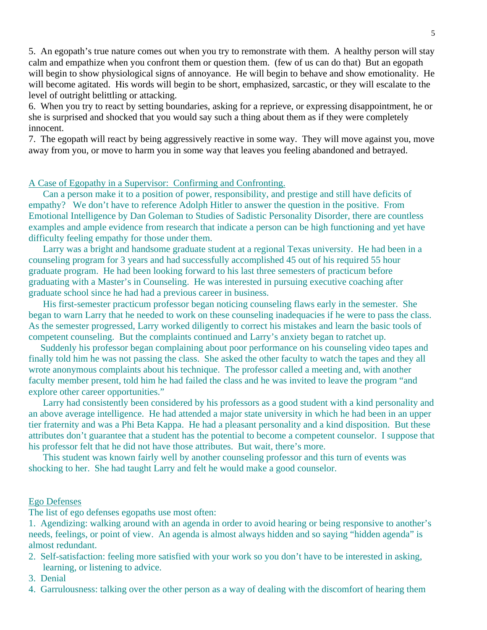5. An egopath's true nature comes out when you try to remonstrate with them. A healthy person will stay calm and empathize when you confront them or question them. (few of us can do that) But an egopath will begin to show physiological signs of annoyance. He will begin to behave and show emotionality. He will become agitated. His words will begin to be short, emphasized, sarcastic, or they will escalate to the level of outright belittling or attacking.

6. When you try to react by setting boundaries, asking for a reprieve, or expressing disappointment, he or she is surprised and shocked that you would say such a thing about them as if they were completely innocent.

7. The egopath will react by being aggressively reactive in some way. They will move against you, move away from you, or move to harm you in some way that leaves you feeling abandoned and betrayed.

# A Case of Egopathy in a Supervisor: Confirming and Confronting.

 Can a person make it to a position of power, responsibility, and prestige and still have deficits of empathy? We don't have to reference Adolph Hitler to answer the question in the positive. From Emotional Intelligence by Dan Goleman to Studies of Sadistic Personality Disorder, there are countless examples and ample evidence from research that indicate a person can be high functioning and yet have difficulty feeling empathy for those under them.

 Larry was a bright and handsome graduate student at a regional Texas university. He had been in a counseling program for 3 years and had successfully accomplished 45 out of his required 55 hour graduate program. He had been looking forward to his last three semesters of practicum before graduating with a Master's in Counseling. He was interested in pursuing executive coaching after graduate school since he had had a previous career in business.

 His first-semester practicum professor began noticing counseling flaws early in the semester. She began to warn Larry that he needed to work on these counseling inadequacies if he were to pass the class. As the semester progressed, Larry worked diligently to correct his mistakes and learn the basic tools of competent counseling. But the complaints continued and Larry's anxiety began to ratchet up.

 Suddenly his professor began complaining about poor performance on his counseling video tapes and finally told him he was not passing the class. She asked the other faculty to watch the tapes and they all wrote anonymous complaints about his technique. The professor called a meeting and, with another faculty member present, told him he had failed the class and he was invited to leave the program "and explore other career opportunities."

 Larry had consistently been considered by his professors as a good student with a kind personality and an above average intelligence. He had attended a major state university in which he had been in an upper tier fraternity and was a Phi Beta Kappa. He had a pleasant personality and a kind disposition. But these attributes don't guarantee that a student has the potential to become a competent counselor. I suppose that his professor felt that he did not have those attributes. But wait, there's more.

 This student was known fairly well by another counseling professor and this turn of events was shocking to her. She had taught Larry and felt he would make a good counselor.

## Ego Defenses

The list of ego defenses egopaths use most often:

1. Agendizing: walking around with an agenda in order to avoid hearing or being responsive to another's needs, feelings, or point of view. An agenda is almost always hidden and so saying "hidden agenda" is almost redundant.

- 2. Self-satisfaction: feeling more satisfied with your work so you don't have to be interested in asking, learning, or listening to advice.
- 3. Denial
- 4. Garrulousness: talking over the other person as a way of dealing with the discomfort of hearing them